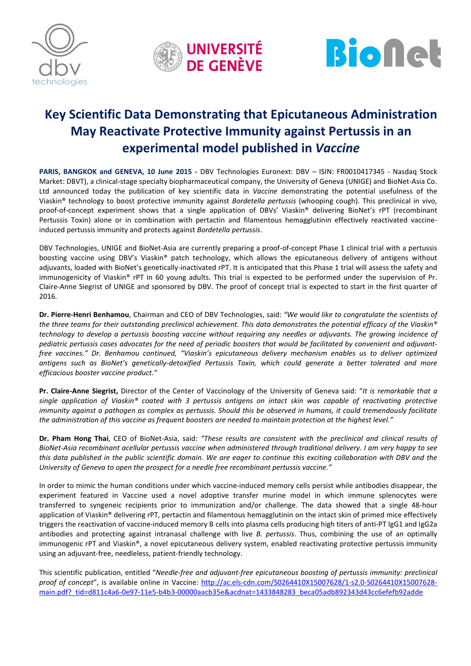





# Key Scientific Data Demonstrating that Epicutaneous Administration May Reactivate Protective Immunity against Pertussis in an experimental model published in *Vaccine*

PARIS, BANGKOK and GENEVA, 10 June 2015 - DBV Technologies Euronext: DBV - ISIN: FR0010417345 - Nasdaq Stock Market: DBVT), a clinical-stage specialty biopharmaceutical company, the University of Geneva (UNIGE) and BioNet-Asia Co. Ltd announced today the publication of key scientific data in *Vaccine* demonstrating the potential usefulness of the Viaskin® technology to boost protective immunity against *Bordetella pertussis* (whooping cough). This preclinical in vivo, proof-of-concept experiment shows that a single application of DBVs' Viaskin® delivering BioNet's rPT (recombinant Pertussis Toxin) alone or in combination with pertactin and filamentous hemagglutinin effectively reactivated vaccineinduced pertussis immunity and protects against *Bordetella pertussis*.

DBV Technologies, UNIGE and BioNet-Asia are currently preparing a proof-of-concept Phase 1 clinical trial with a pertussis boosting vaccine using DBV's Viaskin® patch technology, which allows the epicutaneous delivery of antigens without adjuvants, loaded with BioNet's genetically-inactivated rPT. It is anticipated that this Phase 1 trial will assess the safety and immunogenicity of Viaskin® rPT in 60 young adults. This trial is expected to be performed under the supervision of Pr. Claire-Anne Siegrist of UNIGE and sponsored by DBV. The proof of concept trial is expected to start in the first quarter of 2016.

Dr. Pierre-Henri Benhamou, Chairman and CEO of DBV Technologies, said: *"We would like to congratulate the scientists of the three teams for their outstanding preclinical achievement. This data demonstrates the potential efficacy of the Viaskin® technology to develop a pertussis boosting vaccine without requiring any needles or adjuvants. The growing incidence of pediatric pertussis cases advocates for the need of periodic boosters that would be facilitated by convenient and adjuvantfree vaccines." Dr. Benhamou continued, "Viaskin's epicutaneous delivery mechanism enables us to deliver optimized antigens such as BioNet's genetically-detoxified Pertussis Toxin, which could generate a better tolerated and more efficacious booster vaccine product."* 

Pr. Claire-Anne Siegrist, Director of the Center of Vaccinology of the University of Geneva said: "*It is remarkable that a single application of Viaskin® coated with 3 pertussis antigens on intact skin was capable of reactivating protective immunity against a pathogen as complex as pertussis. Should this be observed in humans, it could tremendously facilitate the administration of this vaccine as frequent boosters are needed to maintain protection at the highest level."* 

Dr. Pham Hong Thai, CEO of BioNet-Asia, said: *"These results are consistent with the preclinical and clinical results of BioNet-Asia recombinant acellular pertussis vaccine when administered through traditional delivery. I am very happy to see this data published in the public scientific domain. We are eager to continue this exciting collaboration with DBV and the University of Geneva to open the prospect for a needle free recombinant pertussis vaccine."*

In order to mimic the human conditions under which vaccine-induced memory cells persist while antibodies disappear, the experiment featured in Vaccine used a novel adoptive transfer murine model in which immune splenocytes were transferred to syngeneic recipients prior to immunization and/or challenge. The data showed that a single 48-hour application of Viaskin® delivering rPT, pertactin and filamentous hemagglutinin on the intact skin of primed mice effectively triggers the reactivation of vaccine-induced memory B cells into plasma cells producing high titers of anti-PT IgG1 and IgG2a antibodies and protecting against intranasal challenge with live *B. pertussis*. Thus, combining the use of an optimally immunogenic rPT and Viaskin®, a novel epicutaneous delivery system, enabled reactivating protective pertussis immunity using an adjuvant-free, needleless, patient-friendly technology.

This scientific publication, entitled "*Needle-free and adjuvant-free epicutaneous boosting of pertussis immunity: preclinical proof of concept*", is available online in Vaccine: http://ac.els-cdn.com/S0264410X15007628/1-s2.0-S0264410X15007628 main.pdf?\_tid=d811c4a6-0e97-11e5-b4b3-00000aacb35e&acdnat=1433848283\_beca05adb892343d43cc6efefb92adde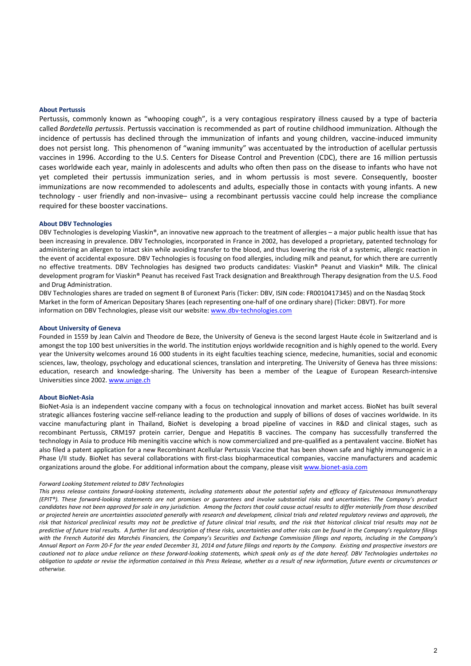#### About Pertussis

Pertussis, commonly known as "whooping cough", is a very contagious respiratory illness caused by a type of bacteria called *Bordetella pertussis*. Pertussis vaccination is recommended as part of routine childhood immunization. Although the incidence of pertussis has declined through the immunization of infants and young children, vaccine-induced immunity does not persist long. This phenomenon of "waning immunity" was accentuated by the introduction of acellular pertussis vaccines in 1996. According to the U.S. Centers for Disease Control and Prevention (CDC), there are 16 million pertussis cases worldwide each year, mainly in adolescents and adults who often then pass on the disease to infants who have not yet completed their pertussis immunization series, and in whom pertussis is most severe. Consequently, booster immunizations are now recommended to adolescents and adults, especially those in contacts with young infants. A new technology - user friendly and non-invasive– using a recombinant pertussis vaccine could help increase the compliance required for these booster vaccinations.

#### About DBV Technologies

DBV Technologies is developing Viaskin®, an innovative new approach to the treatment of allergies – a major public health issue that has been increasing in prevalence. DBV Technologies, incorporated in France in 2002, has developed a proprietary, patented technology for administering an allergen to intact skin while avoiding transfer to the blood, and thus lowering the risk of a systemic, allergic reaction in the event of accidental exposure. DBV Technologies is focusing on food allergies, including milk and peanut, for which there are currently no effective treatments. DBV Technologies has designed two products candidates: Viaskin® Peanut and Viaskin® Milk. The clinical development program for Viaskin® Peanut has received Fast Track designation and Breakthrough Therapy designation from the U.S. Food and Drug Administration.

DBV Technologies shares are traded on segment B of Euronext Paris (Ticker: DBV, ISIN code: FR0010417345) and on the Nasdaq Stock Market in the form of American Depositary Shares (each representing one-half of one ordinary share) (Ticker: DBVT). For more information on DBV Technologies, please visit our website: www.dbv-technologies.com

#### About University of Geneva

Founded in 1559 by Jean Calvin and Theodore de Beze, the University of Geneva is the second largest Haute école in Switzerland and is amongst the top 100 best universities in the world. The institution enjoys worldwide recognition and is highly opened to the world. Every year the University welcomes around 16 000 students in its eight faculties teaching science, medecine, humanities, social and economic sciences, law, theology, psychology and educational sciences, translation and interpreting. The University of Geneva has three missions: education, research and knowledge-sharing. The University has been a member of the League of European Research-intensive Universities since 2002. www.unige.ch

### About BioNet-Asia

BioNet-Asia is an independent vaccine company with a focus on technological innovation and market access. BioNet has built several strategic alliances fostering vaccine self-reliance leading to the production and supply of billions of doses of vaccines worldwide. In its vaccine manufacturing plant in Thailand, BioNet is developing a broad pipeline of vaccines in R&D and clinical stages, such as recombinant Pertussis, CRM197 protein carrier, Dengue and Hepatitis B vaccines. The company has successfully transferred the technology in Asia to produce Hib meningitis vaccine which is now commercialized and pre-qualified as a pentavalent vaccine. BioNet has also filed a patent application for a new Recombinant Acellular Pertussis Vaccine that has been shown safe and highly immunogenic in a Phase I/II study. BioNet has several collaborations with first-class biopharmaceutical companies, vaccine manufacturers and academic organizations around the globe. For additional information about the company, please visit www.bionet-asia.com

#### *Forward Looking Statement related to DBV Technologies*

*This press release contains forward-looking statements, including statements about the potential safety and efficacy of Epicutenaous Immunotherapy (EPIT®). These forward-looking statements are not promises or guarantees and involve substantial risks and uncertainties. The Company's product candidates have not been approved for sale in any jurisdiction. Among the factors that could cause actual results to differ materially from those described or projected herein are uncertainties associated generally with research and development, clinical trials and related regulatory reviews and approvals, the risk that historical preclinical results may not be predictive of future clinical trial results, and the risk that historical clinical trial results may not be predictive of future trial results. A further list and description of these risks, uncertainties and other risks can be found in the Company's regulatory filings with the French Autorité des Marchés Financiers, the Company's Securities and Exchange Commission filings and reports, including in the Company's Annual Report on Form 20-F for the year ended December 31, 2014 and future filings and reports by the Company. Existing and prospective investors are cautioned not to place undue reliance on these forward-looking statements, which speak only as of the date hereof. DBV Technologies undertakes no obligation to update or revise the information contained in this Press Release, whether as a result of new information, future events or circumstances or otherwise.*